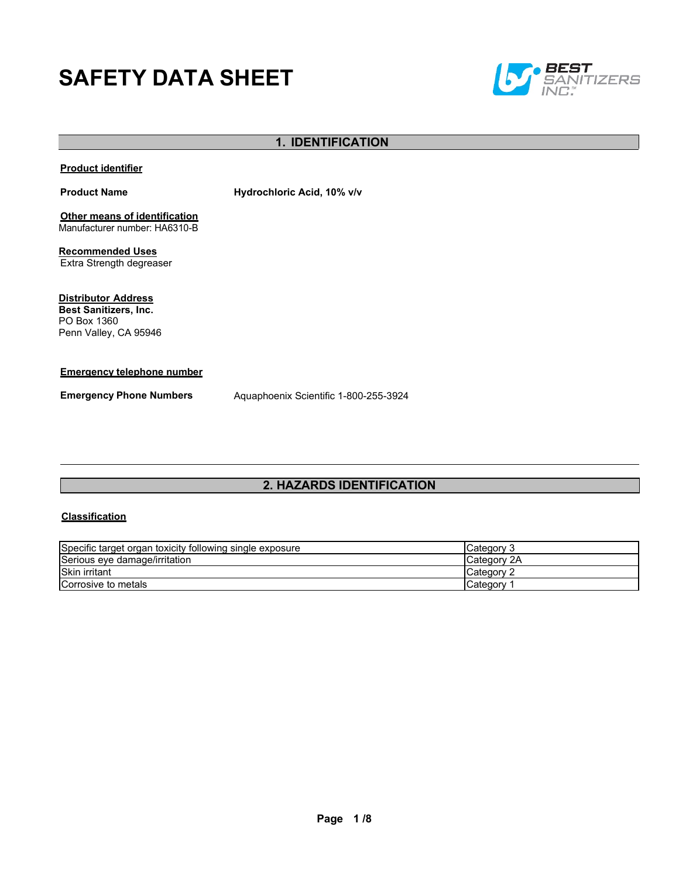# **SAFETY DATA SHEET**



# **1. IDENTIFICATION**

# **Product identifier**

**Product Name Hydrochloric Acid, 10% v/v**

**Other means of identification** Manufacturer number: HA6310-B

**Recommended Uses** Extra Strength degreaser

**Distributor Address Best Sanitizers, Inc.** 

PO Box 1360 Penn Valley, CA 95946

# **Emergency telephone number**

**Emergency Phone Numbers** Aquaphoenix Scientific 1-800-255-3924

# **2. HAZARDS IDENTIFICATION**

# **Classification**

| Specific target organ toxicity following single exposure | Category 3         |
|----------------------------------------------------------|--------------------|
| Serious eye damage/irritation                            | Category 2A        |
| <b>Skin irritant</b>                                     | <b>ICategory 2</b> |
| Corrosive to metals                                      | <b>ICategory</b>   |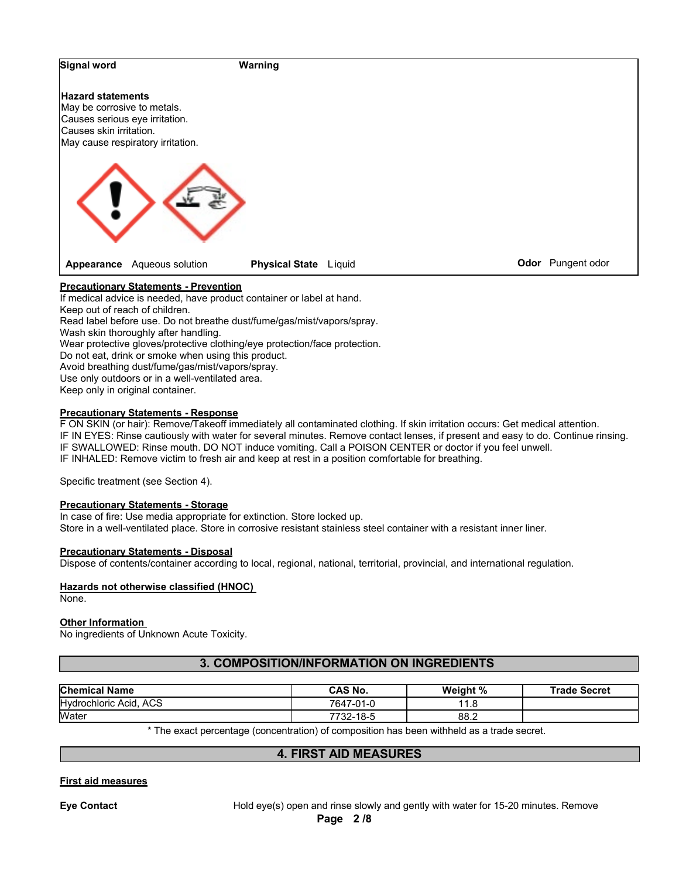

Do not eat, drink or smoke when using this product.

Avoid breathing dust/fume/gas/mist/vapors/spray.

Use only outdoors or in a well-ventilated area.

Keep only in original container.

#### **Precautionary Statements - Response**

F ON SKIN (or hair): Remove/Takeoff immediately all contaminated clothing. If skin irritation occurs: Get medical attention. IF IN EYES: Rinse cautiously with water for several minutes. Remove contact lenses, if present and easy to do. Continue rinsing. IF SWALLOWED: Rinse mouth. DO NOT induce vomiting. Call a POISON CENTER or doctor if you feel unwell. IF INHALED: Remove victim to fresh air and keep at rest in a position comfortable for breathing.

Specific treatment (see Section 4).

# **Precautionary Statements - Storage**

In case of fire: Use media appropriate for extinction. Store locked up. Store in a well-ventilated place. Store in corrosive resistant stainless steel container with a resistant inner liner.

#### **Precautionary Statements - Disposal**

Dispose of contents/container according to local, regional, national, territorial, provincial, and international regulation.

#### **Hazards not otherwise classified (HNOC)**

None.

#### **Other Information**

No ingredients of Unknown Acute Toxicity.

# **3. COMPOSITION/INFORMATION ON INGREDIENTS**

| <b>Chemical Name</b>          | <b>CAS No.</b> | Weight %              | <b>Trade Secret</b> |
|-------------------------------|----------------|-----------------------|---------------------|
| <b>Hydrochloric Acid, ACS</b> | 7647-01-0      | $\overline{A}$<br>1.8 |                     |
| Water                         | 7732-18-5      | 88.2                  |                     |

\* The exact percentage (concentration) of composition has been withheld as a trade secret.

# **4. FIRST AID MEASURES**

# **First aid measures**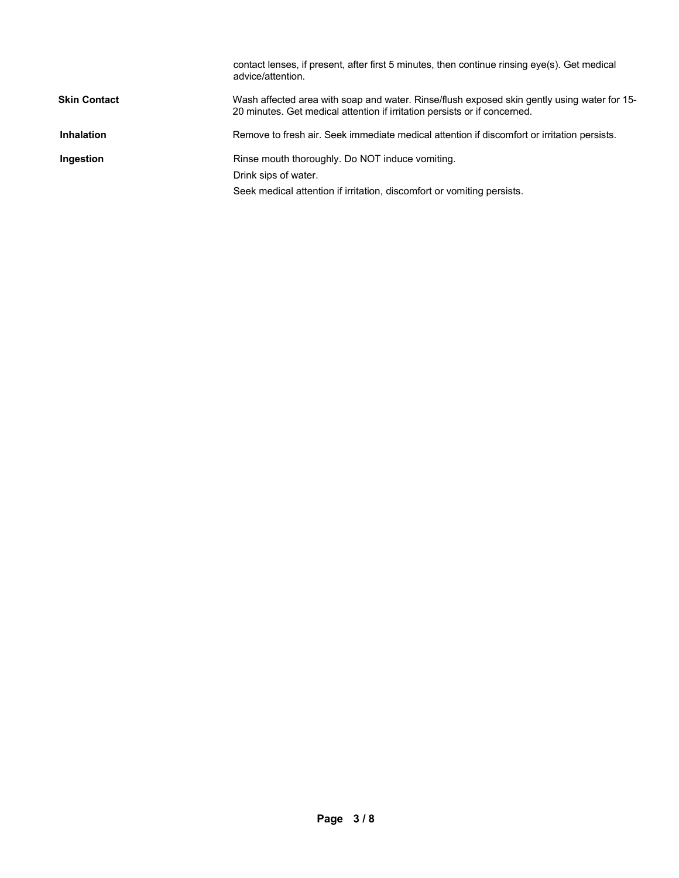|                     | contact lenses, if present, after first 5 minutes, then continue rinsing eye(s). Get medical<br>advice/attention.                                                        |
|---------------------|--------------------------------------------------------------------------------------------------------------------------------------------------------------------------|
| <b>Skin Contact</b> | Wash affected area with soap and water. Rinse/flush exposed skin gently using water for 15-<br>20 minutes. Get medical attention if irritation persists or if concerned. |
| <b>Inhalation</b>   | Remove to fresh air. Seek immediate medical attention if discomfort or irritation persists.                                                                              |
| Ingestion           | Rinse mouth thoroughly. Do NOT induce vomiting.                                                                                                                          |
|                     | Drink sips of water.                                                                                                                                                     |
|                     | Seek medical attention if irritation, discomfort or vomiting persists.                                                                                                   |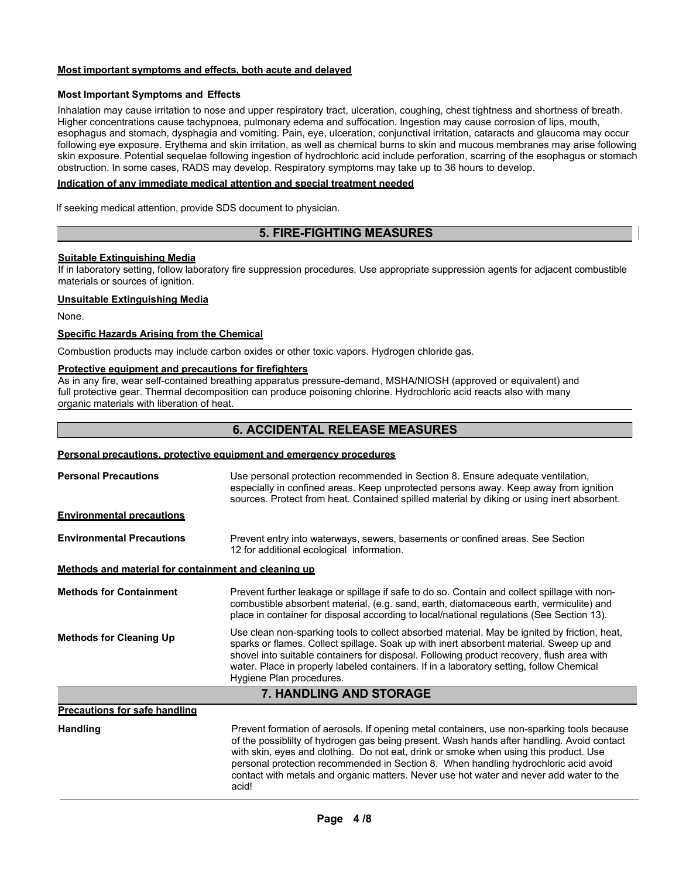# **Most important symptoms and effects, both acute and delayed**

# **Most Important Symptoms and Effects**

Inhalation may cause irritation to nose and upper respiratory tract, ulceration, coughing, chest tightness and shortness of breath. Higher concentrations cause tachypnoea, pulmonary edema and suffocation. Ingestion may cause corrosion of lips, mouth, esophagus and stomach, dysphagia and vomiting. Pain, eye, ulceration, conjunctival irritation, cataracts and glaucoma may occur following eye exposure. Erythema and skin irritation, as well as chemical burns to skin and mucous membranes may arise following skin exposure. Potential sequelae following ingestion of hydrochloric acid include perforation, scarring of the esophagus or stomach obstruction. In some cases, RADS may develop. Respiratory symptoms may take up to 36 hours to develop.

#### **Indication of any immediate medical attention and special treatment needed**

If seeking medical attention, provide SDS document to physician.

# **5. FIRE-FIGHTING MEASURES**

# **Suitable Extinguishing Media**

If in laboratory setting, follow laboratory fire suppression procedures. Use appropriate suppression agents for adjacent combustible materials or sources of ignition.

# **Unsuitable Extinguishing Media**

None.

# **Specific Hazards Arising from the Chemical**

Combustion products may include carbon oxides or other toxic vapors. Hydrogen chloride gas.

# **Protective equipment and precautions for firefighters**

As in any fire, wear self-contained breathing apparatus pressure-demand, MSHA/NIOSH (approved or equivalent) and full protective gear. Thermal decomposition can produce poisoning chlorine. Hydrochloric acid reacts also with many organic materials with liberation of heat.

# **6. ACCIDENTAL RELEASE MEASURES**

# **Personal precautions, protective equipment and emergency procedures**

| <b>Personal Precautions</b>                          | Use personal protection recommended in Section 8. Ensure adequate ventilation,<br>especially in confined areas. Keep unprotected persons away. Keep away from ignition<br>sources. Protect from heat. Contained spilled material by diking or using inert absorbent.                                                                                                                                                                                                         |  |  |
|------------------------------------------------------|------------------------------------------------------------------------------------------------------------------------------------------------------------------------------------------------------------------------------------------------------------------------------------------------------------------------------------------------------------------------------------------------------------------------------------------------------------------------------|--|--|
| <b>Environmental precautions</b>                     |                                                                                                                                                                                                                                                                                                                                                                                                                                                                              |  |  |
| <b>Environmental Precautions</b>                     | Prevent entry into waterways, sewers, basements or confined areas. See Section<br>12 for additional ecological information.                                                                                                                                                                                                                                                                                                                                                  |  |  |
| Methods and material for containment and cleaning up |                                                                                                                                                                                                                                                                                                                                                                                                                                                                              |  |  |
| <b>Methods for Containment</b>                       | Prevent further leakage or spillage if safe to do so. Contain and collect spillage with non-<br>combustible absorbent material, (e.g. sand, earth, diatomaceous earth, vermiculite) and<br>place in container for disposal according to local/national regulations (See Section 13).                                                                                                                                                                                         |  |  |
| <b>Methods for Cleaning Up</b>                       | Use clean non-sparking tools to collect absorbed material. May be ignited by friction, heat,<br>sparks or flames. Collect spillage. Soak up with inert absorbent material. Sweep up and<br>shovel into suitable containers for disposal. Following product recovery, flush area with<br>water. Place in properly labeled containers. If in a laboratory setting, follow Chemical<br>Hygiene Plan procedures.                                                                 |  |  |
|                                                      | 7. HANDLING AND STORAGE                                                                                                                                                                                                                                                                                                                                                                                                                                                      |  |  |
| <b>Precautions for safe handling</b>                 |                                                                                                                                                                                                                                                                                                                                                                                                                                                                              |  |  |
| <b>Handling</b>                                      | Prevent formation of aerosols. If opening metal containers, use non-sparking tools because<br>of the possiblilty of hydrogen gas being present. Wash hands after handling. Avoid contact<br>with skin, eyes and clothing. Do not eat, drink or smoke when using this product. Use<br>personal protection recommended in Section 8. When handling hydrochloric acid avoid<br>contact with metals and organic matters. Never use hot water and never add water to the<br>acid! |  |  |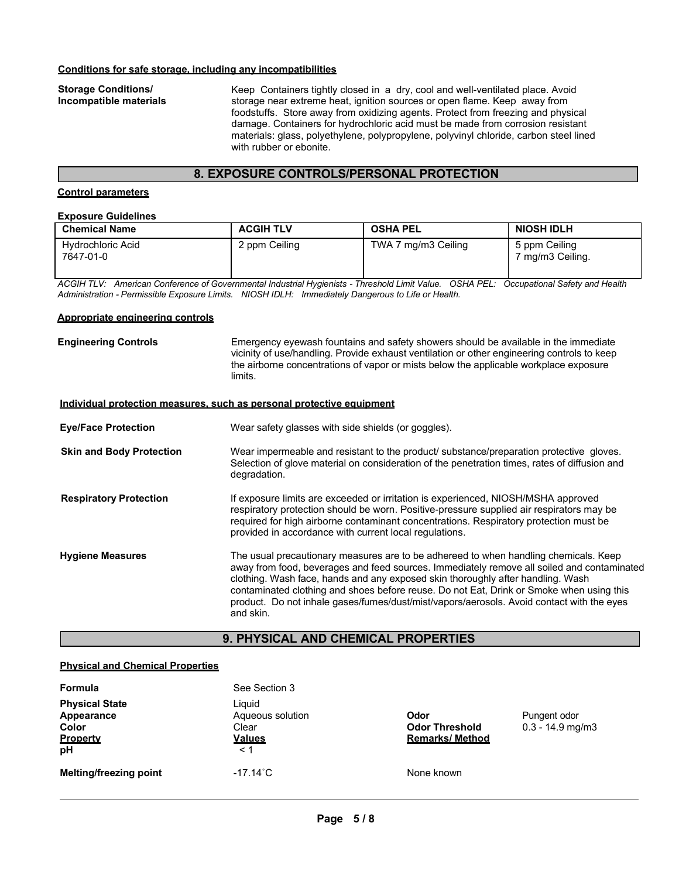#### **Conditions for safe storage, including any incompatibilities**

**Storage Conditions/ Incompatible materials** Keep Containers tightly closed in a dry, cool and well-ventilated place. Avoid storage near extreme heat, ignition sources or open flame. Keep away from foodstuffs. Store away from oxidizing agents. Protect from freezing and physical damage. Containers for hydrochloric acid must be made from corrosion resistant materials: glass, polyethylene, polypropylene, polyvinyl chloride, carbon steel lined with rubber or ebonite.

# **8. EXPOSURE CONTROLS/PERSONAL PROTECTION**

# **Control parameters**

# **Exposure Guidelines**

| <b>Chemical Name</b>                  | <b>ACGIH TLV</b> | <b>OSHA PEL</b>     | <b>NIOSH IDLH</b>               |
|---------------------------------------|------------------|---------------------|---------------------------------|
| <b>Hydrochloric Acid</b><br>7647-01-0 | 2 ppm Ceiling    | TWA 7 mg/m3 Ceiling | 5 ppm Ceiling<br>mq/m3 Ceiling. |

*ACGIH TLV: American Conference of Governmental Industrial Hygienists - Threshold Limit Value. OSHA PEL: Occupational Safety and Health Administration - Permissible Exposure Limits. NIOSH IDLH: Immediately Dangerous to Life or Health.*

#### **Appropriate engineering controls**

**Engineering Controls** Emergency eyewash fountains and safety showers should be available in the immediate vicinity of use/handling. Provide exhaust ventilation or other engineering controls to keep the airborne concentrations of vapor or mists below the applicable workplace exposure limits.

#### **Individual protection measures, such as personal protective equipment**

| <b>Eye/Face Protection</b>      | Wear safety glasses with side shields (or goggles).                                                                                                                                                                                                                                                                                                                                                                                                                         |
|---------------------------------|-----------------------------------------------------------------------------------------------------------------------------------------------------------------------------------------------------------------------------------------------------------------------------------------------------------------------------------------------------------------------------------------------------------------------------------------------------------------------------|
| <b>Skin and Body Protection</b> | Wear impermeable and resistant to the product substance preparation protective gloves.<br>Selection of glove material on consideration of the penetration times, rates of diffusion and<br>degradation.                                                                                                                                                                                                                                                                     |
| <b>Respiratory Protection</b>   | If exposure limits are exceeded or irritation is experienced, NIOSH/MSHA approved<br>respiratory protection should be worn. Positive-pressure supplied air respirators may be<br>required for high airborne contaminant concentrations. Respiratory protection must be<br>provided in accordance with current local regulations.                                                                                                                                            |
| <b>Hygiene Measures</b>         | The usual precautionary measures are to be adhereed to when handling chemicals. Keep<br>away from food, beverages and feed sources. Immediately remove all soiled and contaminated<br>clothing. Wash face, hands and any exposed skin thoroughly after handling. Wash<br>contaminated clothing and shoes before reuse. Do not Eat, Drink or Smoke when using this<br>product. Do not inhale gases/fumes/dust/mist/vapors/aerosols. Avoid contact with the eyes<br>and skin. |

# **9. PHYSICAL AND CHEMICAL PROPERTIES**

# **Physical and Chemical Properties**

| Formula                                                        | See Section 3                                                    |                                                         |                                       |
|----------------------------------------------------------------|------------------------------------------------------------------|---------------------------------------------------------|---------------------------------------|
| <b>Physical State</b><br>Appearance<br>Color<br>Property<br>pH | Liquid<br>Aqueous solution<br>Clear<br><b>Values</b><br>$\leq 1$ | Odor<br><b>Odor Threshold</b><br><b>Remarks/ Method</b> | Pungent odor<br>$0.3 - 14.9$ mg/m $3$ |
| <b>Melting/freezing point</b>                                  | $-17.14^{\circ}$ C                                               | None known                                              |                                       |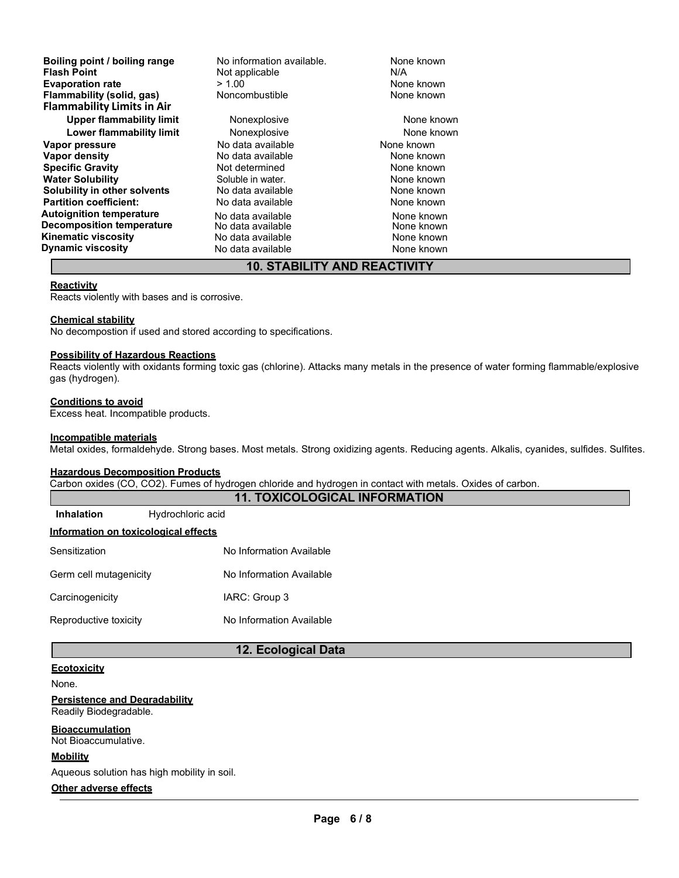| Boiling point / boiling range     | No information available. | None known |
|-----------------------------------|---------------------------|------------|
| <b>Flash Point</b>                | Not applicable            | N/A        |
| <b>Evaporation rate</b>           | > 1.00                    | None known |
| Flammability (solid, gas)         | Noncombustible            | None known |
| <b>Flammability Limits in Air</b> |                           |            |
| <b>Upper flammability limit</b>   | Nonexplosive              | None known |
| Lower flammability limit          | Nonexplosive              | None known |
| Vapor pressure                    | No data available         | None known |
| Vapor density                     | No data available         | None known |
| <b>Specific Gravity</b>           | Not determined            | None known |
| <b>Water Solubility</b>           | Soluble in water.         | None known |
| Solubility in other solvents      | No data available         | None known |
| <b>Partition coefficient:</b>     | No data available         | None known |
| <b>Autoignition temperature</b>   | No data available         | None known |
| <b>Decomposition temperature</b>  | No data available         | None known |
| <b>Kinematic viscosity</b>        | No data available         | None known |
| <b>Dynamic viscosity</b>          | No data available         | None known |

# **10. STABILITY AND REACTIVITY**

# **Reactivity**

Reacts violently with bases and is corrosive.

# **Chemical stability**

No decompostion if used and stored according to specifications.

#### **Possibility of Hazardous Reactions**

Reacts violently with oxidants forming toxic gas (chlorine). Attacks many metals in the presence of water forming flammable/explosive gas (hydrogen).

# **Conditions to avoid**

Excess heat. Incompatible products.

#### **Incompatible materials**

Metal oxides, formaldehyde. Strong bases. Most metals. Strong oxidizing agents. Reducing agents. Alkalis, cyanides, sulfides. Sulfites.

# **Hazardous Decomposition Products**

Carbon oxides (CO, CO2). Fumes of hydrogen chloride and hydrogen in contact with metals. Oxides of carbon.

| <b>11. TOXICOLOGICAL INFORMATION</b> |                          |  |  |
|--------------------------------------|--------------------------|--|--|
| <b>Inhalation</b>                    | Hydrochloric acid        |  |  |
| Information on toxicological effects |                          |  |  |
| Sensitization                        | No Information Available |  |  |
| Germ cell mutagenicity               | No Information Available |  |  |
| Carcinogenicity                      | IARC: Group 3            |  |  |
| Reproductive toxicity                | No Information Available |  |  |

# **12. Ecological Data**

# **Ecotoxicity**

None.

#### **Persistence and Degradability** Readily Biodegradable.

**Bioaccumulation** Not Bioaccumulative.

# **Mobility**

Aqueous solution has high mobility in soil.

# **Other adverse effects**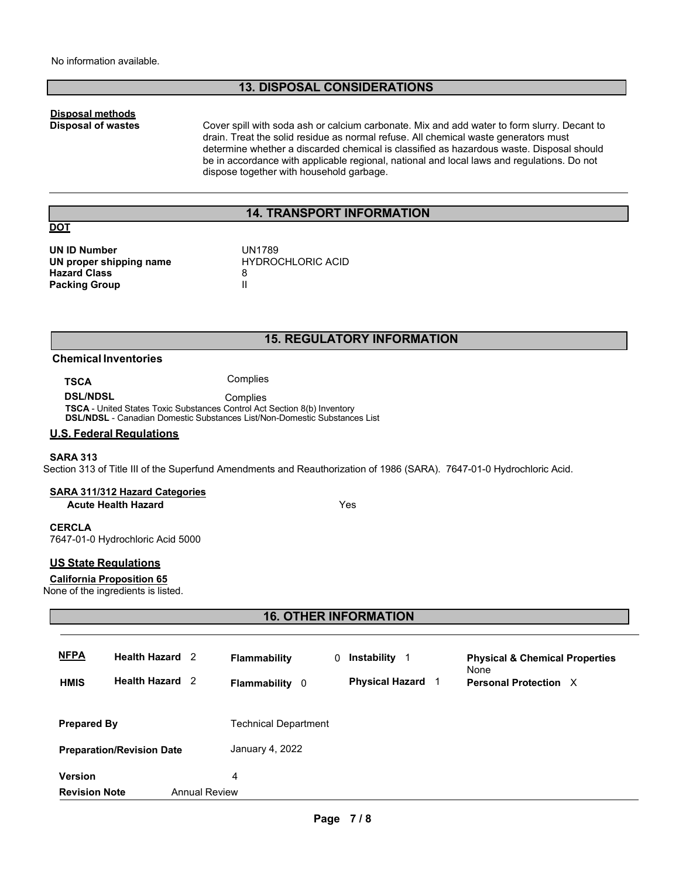# **13. DISPOSAL CONSIDERATIONS**

# **Disposal methods**

**Disposal of wastes** Cover spill with soda ash or calcium carbonate. Mix and add water to form slurry. Decant to drain. Treat the solid residue as normal refuse. All chemical waste generators must determine whether a discarded chemical is classified as hazardous waste. Disposal should be in accordance with applicable regional, national and local laws and regulations. Do not dispose together with household garbage.

# **14. TRANSPORT INFORMATION**

# **DOT**

**UN ID Number UN proper shipping name Hazard Class Packing Group**

UN1789 HYDROCHLORIC ACID 8 II

# **15. REGULATORY INFORMATION**

# **Chemical Inventories**

**TSCA** Complies

**DSL/NDSL** Complies **TSCA** - United States Toxic Substances Control Act Section 8(b) Inventory **DSL/NDSL** - Canadian Domestic Substances List/Non-Domestic Substances List

# **U.S. Federal Regulations**

## **SARA 313**

Section 313 of Title III of the Superfund Amendments and Reauthorization of 1986 (SARA). 7647-01-0 Hydrochloric Acid.

#### **SARA 311/312 Hazard Categories**

**Acute Health Hazard** Yes

# **CERCLA**

7647-01-0 Hydrochloric Acid 5000

# **US State Regulations**

#### **California Proposition 65**

None of the ingredients is listed.

# **16. OTHER INFORMATION**

| <b>NFPA</b><br><b>HMIS</b> | <b>Health Hazard</b> 2<br><b>Health Hazard</b> 2 |                      | <b>Flammability</b><br><b>Flammability</b> 0 | 0 | Instability<br>- 1<br><b>Physical Hazard</b> | <b>Physical &amp; Chemical Properties</b><br>None<br>Personal Protection X |
|----------------------------|--------------------------------------------------|----------------------|----------------------------------------------|---|----------------------------------------------|----------------------------------------------------------------------------|
| <b>Prepared By</b>         |                                                  |                      | Technical Department                         |   |                                              |                                                                            |
|                            | <b>Preparation/Revision Date</b>                 |                      | January 4, 2022                              |   |                                              |                                                                            |
| <b>Version</b>             |                                                  |                      | 4                                            |   |                                              |                                                                            |
| <b>Revision Note</b>       |                                                  | <b>Annual Review</b> |                                              |   |                                              |                                                                            |